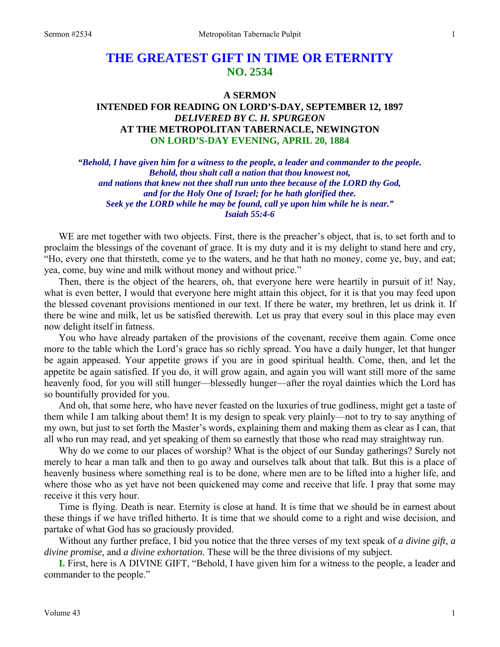# **THE GREATEST GIFT IN TIME OR ETERNITY NO. 2534**

### **A SERMON**

# **INTENDED FOR READING ON LORD'S-DAY, SEPTEMBER 12, 1897**  *DELIVERED BY C. H. SPURGEON*  **AT THE METROPOLITAN TABERNACLE, NEWINGTON ON LORD'S-DAY EVENING, APRIL 20, 1884**

*"Behold, I have given him for a witness to the people, a leader and commander to the people. Behold, thou shalt call a nation that thou knowest not, and nations that knew not thee shall run unto thee because of the LORD thy God, and for the Holy One of Israel; for he hath glorified thee. Seek ye the LORD while he may be found, call ye upon him while he is near." Isaiah 55:4-6* 

WE are met together with two objects. First, there is the preacher's object, that is, to set forth and to proclaim the blessings of the covenant of grace. It is my duty and it is my delight to stand here and cry, "Ho, every one that thirsteth, come ye to the waters, and he that hath no money, come ye, buy, and eat; yea, come, buy wine and milk without money and without price."

Then, there is the object of the hearers, oh, that everyone here were heartily in pursuit of it! Nay, what is even better, I would that everyone here might attain this object, for it is that you may feed upon the blessed covenant provisions mentioned in our text. If there be water, my brethren, let us drink it. If there be wine and milk, let us be satisfied therewith. Let us pray that every soul in this place may even now delight itself in fatness.

You who have already partaken of the provisions of the covenant, receive them again. Come once more to the table which the Lord's grace has so richly spread. You have a daily hunger, let that hunger be again appeased. Your appetite grows if you are in good spiritual health. Come, then, and let the appetite be again satisfied. If you do, it will grow again, and again you will want still more of the same heavenly food, for you will still hunger—blessedly hunger—after the royal dainties which the Lord has so bountifully provided for you.

And oh, that some here, who have never feasted on the luxuries of true godliness, might get a taste of them while I am talking about them! It is my design to speak very plainly—not to try to say anything of my own, but just to set forth the Master's words, explaining them and making them as clear as I can, that all who run may read, and yet speaking of them so earnestly that those who read may straightway run.

Why do we come to our places of worship? What is the object of our Sunday gatherings? Surely not merely to hear a man talk and then to go away and ourselves talk about that talk. But this is a place of heavenly business where something real is to be done, where men are to be lifted into a higher life, and where those who as yet have not been quickened may come and receive that life. I pray that some may receive it this very hour.

Time is flying. Death is near. Eternity is close at hand. It is time that we should be in earnest about these things if we have trifled hitherto. It is time that we should come to a right and wise decision, and partake of what God has so graciously provided.

Without any further preface, I bid you notice that the three verses of my text speak of *a divine gift, a divine promise,* and *a divine exhortation.* These will be the three divisions of my subject.

**I.** First, here is A DIVINE GIFT, "Behold, I have given him for a witness to the people, a leader and commander to the people."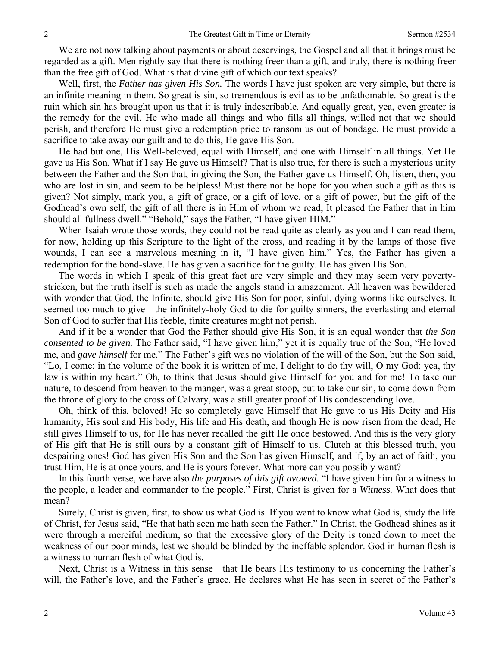We are not now talking about payments or about deservings, the Gospel and all that it brings must be regarded as a gift. Men rightly say that there is nothing freer than a gift, and truly, there is nothing freer than the free gift of God. What is that divine gift of which our text speaks?

Well, first, the *Father has given His Son.* The words I have just spoken are very simple, but there is an infinite meaning in them. So great is sin, so tremendous is evil as to be unfathomable. So great is the ruin which sin has brought upon us that it is truly indescribable. And equally great, yea, even greater is the remedy for the evil. He who made all things and who fills all things, willed not that we should perish, and therefore He must give a redemption price to ransom us out of bondage. He must provide a sacrifice to take away our guilt and to do this, He gave His Son.

He had but one, His Well-beloved, equal with Himself, and one with Himself in all things. Yet He gave us His Son. What if I say He gave us Himself? That is also true, for there is such a mysterious unity between the Father and the Son that, in giving the Son, the Father gave us Himself. Oh, listen, then, you who are lost in sin, and seem to be helpless! Must there not be hope for you when such a gift as this is given? Not simply, mark you, a gift of grace, or a gift of love, or a gift of power, but the gift of the Godhead's own self, the gift of all there is in Him of whom we read, It pleased the Father that in him should all fullness dwell." "Behold," says the Father, "I have given HIM."

When Isaiah wrote those words, they could not be read quite as clearly as you and I can read them, for now, holding up this Scripture to the light of the cross, and reading it by the lamps of those five wounds, I can see a marvelous meaning in it, "I have given him." Yes, the Father has given a redemption for the bond-slave. He has given a sacrifice for the guilty. He has given His Son.

The words in which I speak of this great fact are very simple and they may seem very povertystricken, but the truth itself is such as made the angels stand in amazement. All heaven was bewildered with wonder that God, the Infinite, should give His Son for poor, sinful, dying worms like ourselves. It seemed too much to give—the infinitely-holy God to die for guilty sinners, the everlasting and eternal Son of God to suffer that His feeble, finite creatures might not perish.

And if it be a wonder that God the Father should give His Son, it is an equal wonder that *the Son consented to be given.* The Father said, "I have given him," yet it is equally true of the Son, "He loved me, and *gave himself* for me." The Father's gift was no violation of the will of the Son, but the Son said, "Lo, I come: in the volume of the book it is written of me, I delight to do thy will, O my God: yea, thy law is within my heart." Oh, to think that Jesus should give Himself for you and for me! To take our nature, to descend from heaven to the manger, was a great stoop, but to take our sin, to come down from the throne of glory to the cross of Calvary, was a still greater proof of His condescending love.

Oh, think of this, beloved! He so completely gave Himself that He gave to us His Deity and His humanity, His soul and His body, His life and His death, and though He is now risen from the dead, He still gives Himself to us, for He has never recalled the gift He once bestowed. And this is the very glory of His gift that He is still ours by a constant gift of Himself to us. Clutch at this blessed truth, you despairing ones! God has given His Son and the Son has given Himself, and if, by an act of faith, you trust Him, He is at once yours, and He is yours forever. What more can you possibly want?

In this fourth verse, we have also *the purposes of this gift avowed.* "I have given him for a witness to the people, a leader and commander to the people." First, Christ is given for a *Witness.* What does that mean?

Surely, Christ is given, first, to show us what God is. If you want to know what God is, study the life of Christ, for Jesus said, "He that hath seen me hath seen the Father." In Christ, the Godhead shines as it were through a merciful medium, so that the excessive glory of the Deity is toned down to meet the weakness of our poor minds, lest we should be blinded by the ineffable splendor. God in human flesh is a witness to human flesh of what God is.

Next, Christ is a Witness in this sense—that He bears His testimony to us concerning the Father's will, the Father's love, and the Father's grace. He declares what He has seen in secret of the Father's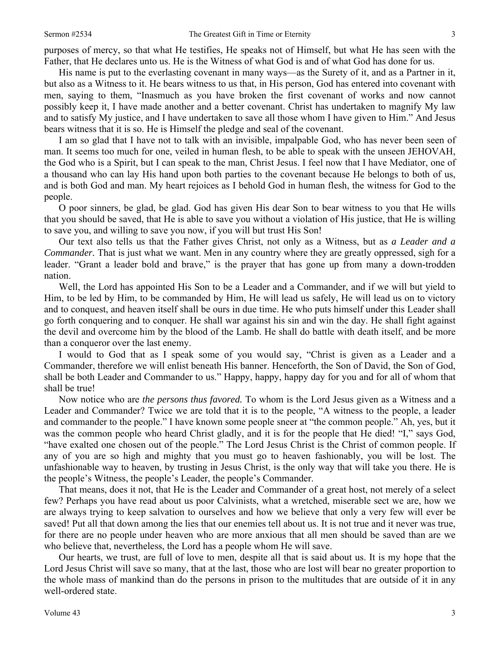purposes of mercy, so that what He testifies, He speaks not of Himself, but what He has seen with the Father, that He declares unto us. He is the Witness of what God is and of what God has done for us.

His name is put to the everlasting covenant in many ways—as the Surety of it, and as a Partner in it, but also as a Witness to it. He bears witness to us that, in His person, God has entered into covenant with men, saying to them, "Inasmuch as you have broken the first covenant of works and now cannot possibly keep it, I have made another and a better covenant. Christ has undertaken to magnify My law and to satisfy My justice, and I have undertaken to save all those whom I have given to Him." And Jesus bears witness that it is so. He is Himself the pledge and seal of the covenant.

I am so glad that I have not to talk with an invisible, impalpable God, who has never been seen of man. It seems too much for one, veiled in human flesh, to be able to speak with the unseen JEHOVAH, the God who is a Spirit, but I can speak to the man, Christ Jesus. I feel now that I have Mediator, one of a thousand who can lay His hand upon both parties to the covenant because He belongs to both of us, and is both God and man. My heart rejoices as I behold God in human flesh, the witness for God to the people.

O poor sinners, be glad, be glad. God has given His dear Son to bear witness to you that He wills that you should be saved, that He is able to save you without a violation of His justice, that He is willing to save you, and willing to save you now, if you will but trust His Son!

Our text also tells us that the Father gives Christ, not only as a Witness, but as *a Leader and a Commander.* That is just what we want. Men in any country where they are greatly oppressed, sigh for a leader. "Grant a leader bold and brave," is the prayer that has gone up from many a down-trodden nation.

Well, the Lord has appointed His Son to be a Leader and a Commander, and if we will but yield to Him, to be led by Him, to be commanded by Him, He will lead us safely, He will lead us on to victory and to conquest, and heaven itself shall be ours in due time. He who puts himself under this Leader shall go forth conquering and to conquer. He shall war against his sin and win the day. He shall fight against the devil and overcome him by the blood of the Lamb. He shall do battle with death itself, and be more than a conqueror over the last enemy.

I would to God that as I speak some of you would say, "Christ is given as a Leader and a Commander, therefore we will enlist beneath His banner. Henceforth, the Son of David, the Son of God, shall be both Leader and Commander to us." Happy, happy, happy day for you and for all of whom that shall be true!

Now notice who are *the persons thus favored.* To whom is the Lord Jesus given as a Witness and a Leader and Commander? Twice we are told that it is to the people, "A witness to the people, a leader and commander to the people." I have known some people sneer at "the common people." Ah, yes, but it was the common people who heard Christ gladly, and it is for the people that He died! "I," says God, "have exalted one chosen out of the people." The Lord Jesus Christ is the Christ of common people. If any of you are so high and mighty that you must go to heaven fashionably, you will be lost. The unfashionable way to heaven, by trusting in Jesus Christ, is the only way that will take you there. He is the people's Witness, the people's Leader, the people's Commander.

That means, does it not, that He is the Leader and Commander of a great host, not merely of a select few? Perhaps you have read about us poor Calvinists, what a wretched, miserable sect we are, how we are always trying to keep salvation to ourselves and how we believe that only a very few will ever be saved! Put all that down among the lies that our enemies tell about us. It is not true and it never was true, for there are no people under heaven who are more anxious that all men should be saved than are we who believe that, nevertheless, the Lord has a people whom He will save.

Our hearts, we trust, are full of love to men, despite all that is said about us. It is my hope that the Lord Jesus Christ will save so many, that at the last, those who are lost will bear no greater proportion to the whole mass of mankind than do the persons in prison to the multitudes that are outside of it in any well-ordered state.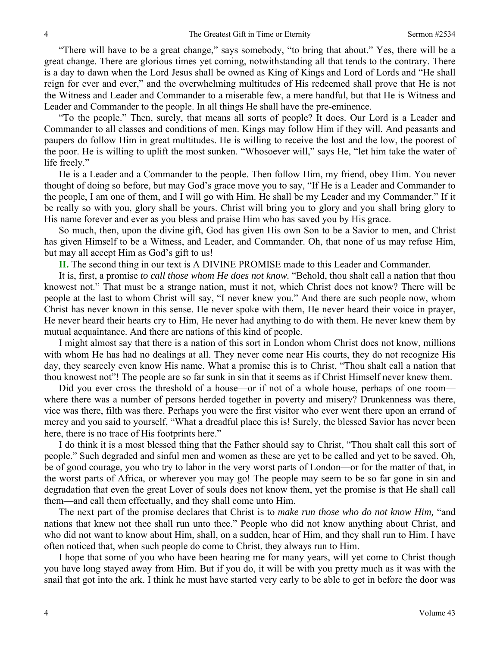"There will have to be a great change," says somebody, "to bring that about." Yes, there will be a great change. There are glorious times yet coming, notwithstanding all that tends to the contrary. There is a day to dawn when the Lord Jesus shall be owned as King of Kings and Lord of Lords and "He shall reign for ever and ever," and the overwhelming multitudes of His redeemed shall prove that He is not the Witness and Leader and Commander to a miserable few, a mere handful, but that He is Witness and Leader and Commander to the people. In all things He shall have the pre-eminence.

"To the people." Then, surely, that means all sorts of people? It does. Our Lord is a Leader and Commander to all classes and conditions of men. Kings may follow Him if they will. And peasants and paupers do follow Him in great multitudes. He is willing to receive the lost and the low, the poorest of the poor. He is willing to uplift the most sunken. "Whosoever will," says He, "let him take the water of life freely."

He is a Leader and a Commander to the people. Then follow Him, my friend, obey Him. You never thought of doing so before, but may God's grace move you to say, "If He is a Leader and Commander to the people, I am one of them, and I will go with Him. He shall be my Leader and my Commander." If it be really so with you, glory shall be yours. Christ will bring you to glory and you shall bring glory to His name forever and ever as you bless and praise Him who has saved you by His grace.

So much, then, upon the divine gift, God has given His own Son to be a Savior to men, and Christ has given Himself to be a Witness, and Leader, and Commander. Oh, that none of us may refuse Him, but may all accept Him as God's gift to us!

**II.** The second thing in our text is A DIVINE PROMISE made to this Leader and Commander.

It is, first, a promise *to call those whom He does not know.* "Behold, thou shalt call a nation that thou knowest not." That must be a strange nation, must it not, which Christ does not know? There will be people at the last to whom Christ will say, "I never knew you." And there are such people now, whom Christ has never known in this sense. He never spoke with them, He never heard their voice in prayer, He never heard their hearts cry to Him, He never had anything to do with them. He never knew them by mutual acquaintance. And there are nations of this kind of people.

I might almost say that there is a nation of this sort in London whom Christ does not know, millions with whom He has had no dealings at all. They never come near His courts, they do not recognize His day, they scarcely even know His name. What a promise this is to Christ, "Thou shalt call a nation that thou knowest not"! The people are so far sunk in sin that it seems as if Christ Himself never knew them.

Did you ever cross the threshold of a house—or if not of a whole house, perhaps of one room where there was a number of persons herded together in poverty and misery? Drunkenness was there, vice was there, filth was there. Perhaps you were the first visitor who ever went there upon an errand of mercy and you said to yourself, "What a dreadful place this is! Surely, the blessed Savior has never been here, there is no trace of His footprints here."

I do think it is a most blessed thing that the Father should say to Christ, "Thou shalt call this sort of people." Such degraded and sinful men and women as these are yet to be called and yet to be saved. Oh, be of good courage, you who try to labor in the very worst parts of London—or for the matter of that, in the worst parts of Africa, or wherever you may go! The people may seem to be so far gone in sin and degradation that even the great Lover of souls does not know them, yet the promise is that He shall call them—and call them effectually, and they shall come unto Him.

The next part of the promise declares that Christ is to *make run those who do not know Him,* "and nations that knew not thee shall run unto thee." People who did not know anything about Christ, and who did not want to know about Him, shall, on a sudden, hear of Him, and they shall run to Him. I have often noticed that, when such people do come to Christ, they always run to Him.

I hope that some of you who have been hearing me for many years, will yet come to Christ though you have long stayed away from Him. But if you do, it will be with you pretty much as it was with the snail that got into the ark. I think he must have started very early to be able to get in before the door was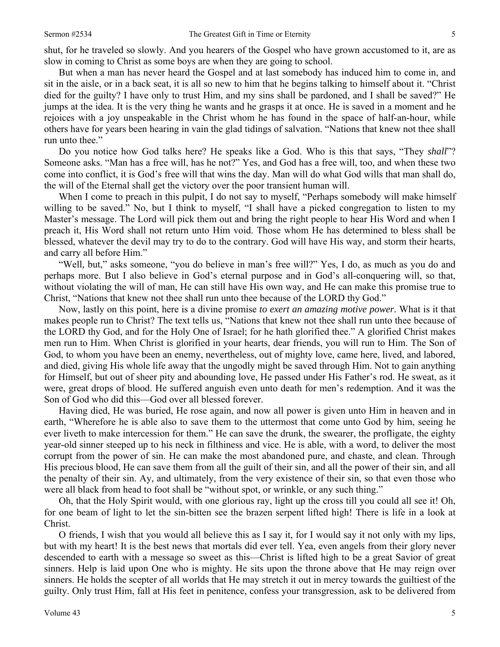shut, for he traveled so slowly. And you hearers of the Gospel who have grown accustomed to it, are as slow in coming to Christ as some boys are when they are going to school.

But when a man has never heard the Gospel and at last somebody has induced him to come in, and sit in the aisle, or in a back seat, it is all so new to him that he begins talking to himself about it. "Christ died for the guilty? I have only to trust Him, and my sins shall be pardoned, and I shall be saved?" He jumps at the idea. It is the very thing he wants and he grasps it at once. He is saved in a moment and he rejoices with a joy unspeakable in the Christ whom he has found in the space of half-an-hour, while others have for years been hearing in vain the glad tidings of salvation. "Nations that knew not thee shall run unto thee."

Do you notice how God talks here? He speaks like a God. Who is this that says, "They *shall*"? Someone asks. "Man has a free will, has he not?" Yes, and God has a free will, too, and when these two come into conflict, it is God's free will that wins the day. Man will do what God wills that man shall do, the will of the Eternal shall get the victory over the poor transient human will.

When I come to preach in this pulpit, I do not say to myself, "Perhaps somebody will make himself willing to be saved." No, but I think to myself, "I shall have a picked congregation to listen to my Master's message. The Lord will pick them out and bring the right people to hear His Word and when I preach it, His Word shall not return unto Him void. Those whom He has determined to bless shall be blessed, whatever the devil may try to do to the contrary. God will have His way, and storm their hearts, and carry all before Him."

"Well*,* but," asks someone, "you do believe in man's free will?" Yes, I do, as much as you do and perhaps more. But I also believe in God's eternal purpose and in God's all-conquering will, so that, without violating the will of man, He can still have His own way, and He can make this promise true to Christ, "Nations that knew not thee shall run unto thee because of the LORD thy God."

Now, lastly on this point, here is a divine promise *to exert an amazing motive power.* What is it that makes people run to Christ? The text tells us, "Nations that knew not thee shall run unto thee because of the LORD thy God, and for the Holy One of Israel; for he hath glorified thee." A glorified Christ makes men run to Him. When Christ is glorified in your hearts, dear friends, you will run to Him. The Son of God, to whom you have been an enemy, nevertheless, out of mighty love, came here, lived, and labored, and died, giving His whole life away that the ungodly might be saved through Him. Not to gain anything for Himself, but out of sheer pity and abounding love, He passed under His Father's rod. He sweat, as it were, great drops of blood. He suffered anguish even unto death for men's redemption. And it was the Son of God who did this—God over all blessed forever.

Having died, He was buried, He rose again, and now all power is given unto Him in heaven and in earth, "Wherefore he is able also to save them to the uttermost that come unto God by him, seeing he ever liveth to make intercession for them." He can save the drunk, the swearer, the profligate, the eighty year-old sinner steeped up to his neck in filthiness and vice. He is able, with a word, to deliver the most corrupt from the power of sin. He can make the most abandoned pure, and chaste, and clean. Through His precious blood, He can save them from all the guilt of their sin, and all the power of their sin, and all the penalty of their sin. Ay, and ultimately, from the very existence of their sin, so that even those who were all black from head to foot shall be "without spot, or wrinkle, or any such thing."

Oh, that the Holy Spirit would, with one glorious ray, light up the cross till you could all see it! Oh, for one beam of light to let the sin-bitten see the brazen serpent lifted high! There is life in a look at Christ.

O friends, I wish that you would all believe this as I say it, for I would say it not only with my lips, but with my heart! It is the best news that mortals did ever tell. Yea, even angels from their glory never descended to earth with a message so sweet as this—Christ is lifted high to be a great Savior of great sinners. Help is laid upon One who is mighty. He sits upon the throne above that He may reign over sinners. He holds the scepter of all worlds that He may stretch it out in mercy towards the guiltiest of the guilty. Only trust Him, fall at His feet in penitence, confess your transgression, ask to be delivered from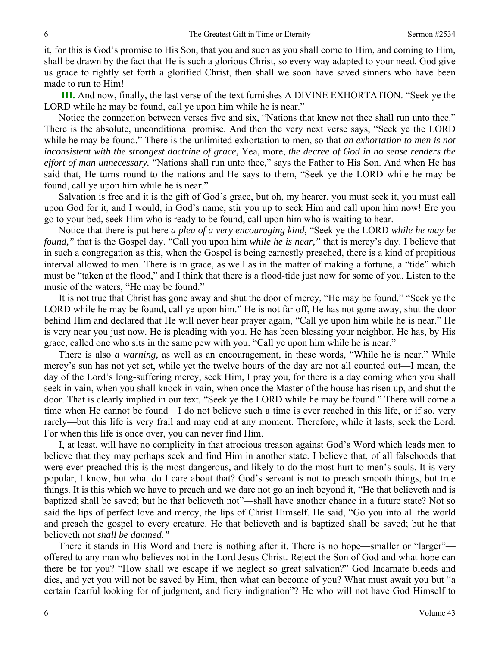it, for this is God's promise to His Son, that you and such as you shall come to Him, and coming to Him, shall be drawn by the fact that He is such a glorious Christ, so every way adapted to your need. God give us grace to rightly set forth a glorified Christ, then shall we soon have saved sinners who have been made to run to Him!

**III.** And now, finally, the last verse of the text furnishes A DIVINE EXHORTATION. "Seek ye the LORD while he may be found, call ye upon him while he is near."

Notice the connection between verses five and six, "Nations that knew not thee shall run unto thee." There is the absolute, unconditional promise. And then the very next verse says, "Seek ye the LORD while he may be found." There is the unlimited exhortation to men, so that *an exhortation to men is not inconsistent with the strongest doctrine of grace,* Yea, more, *the decree of God in no sense renders the effort of man unnecessary.* "Nations shall run unto thee," says the Father to His Son. And when He has said that, He turns round to the nations and He says to them, "Seek ye the LORD while he may be found, call ye upon him while he is near."

Salvation is free and it is the gift of God's grace, but oh, my hearer, you must seek it, you must call upon God for it, and I would, in God's name, stir you up to seek Him and call upon him now! Ere you go to your bed, seek Him who is ready to be found, call upon him who is waiting to hear.

Notice that there is put here *a plea of a very encouraging kind,* "Seek ye the LORD *while he may be found,"* that is the Gospel day. "Call you upon him *while he is near,"* that is mercy's day. I believe that in such a congregation as this, when the Gospel is being earnestly preached, there is a kind of propitious interval allowed to men. There is in grace, as well as in the matter of making a fortune, a "tide" which must be "taken at the flood," and I think that there is a flood-tide just now for some of you. Listen to the music of the waters, "He may be found."

It is not true that Christ has gone away and shut the door of mercy, "He may be found." "Seek ye the LORD while he may be found, call ye upon him." He is not far off, He has not gone away, shut the door behind Him and declared that He will never hear prayer again, "Call ye upon him while he is near." He is very near you just now. He is pleading with you. He has been blessing your neighbor. He has, by His grace, called one who sits in the same pew with you. "Call ye upon him while he is near."

There is also *a warning,* as well as an encouragement, in these words, "While he is near." While mercy's sun has not yet set, while yet the twelve hours of the day are not all counted out—I mean, the day of the Lord's long-suffering mercy, seek Him, I pray you, for there is a day coming when you shall seek in vain, when you shall knock in vain, when once the Master of the house has risen up, and shut the door. That is clearly implied in our text, "Seek ye the LORD while he may be found." There will come a time when He cannot be found—I do not believe such a time is ever reached in this life, or if so, very rarely—but this life is very frail and may end at any moment. Therefore, while it lasts, seek the Lord. For when this life is once over, you can never find Him.

I, at least, will have no complicity in that atrocious treason against God's Word which leads men to believe that they may perhaps seek and find Him in another state. I believe that, of all falsehoods that were ever preached this is the most dangerous, and likely to do the most hurt to men's souls. It is very popular, I know, but what do I care about that? God's servant is not to preach smooth things, but true things. It is this which we have to preach and we dare not go an inch beyond it, "He that believeth and is baptized shall be saved; but he that believeth not"—shall have another chance in a future state? Not so said the lips of perfect love and mercy, the lips of Christ Himself. He said, "Go you into all the world and preach the gospel to every creature. He that believeth and is baptized shall be saved; but he that believeth not *shall be damned."* 

There it stands in His Word and there is nothing after it. There is no hope—smaller or "larger" offered to any man who believes not in the Lord Jesus Christ. Reject the Son of God and what hope can there be for you? "How shall we escape if we neglect so great salvation?" God Incarnate bleeds and dies, and yet you will not be saved by Him, then what can become of you? What must await you but "a certain fearful looking for of judgment, and fiery indignation"? He who will not have God Himself to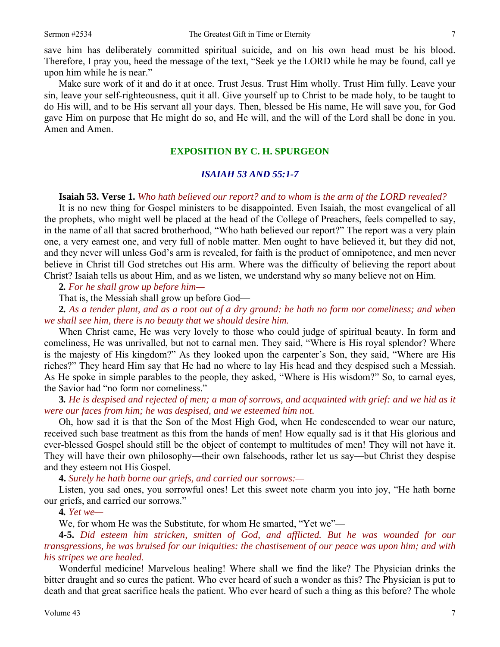save him has deliberately committed spiritual suicide, and on his own head must be his blood. Therefore, I pray you, heed the message of the text, "Seek ye the LORD while he may be found, call ye upon him while he is near."

Make sure work of it and do it at once. Trust Jesus. Trust Him wholly. Trust Him fully. Leave your sin, leave your self-righteousness, quit it all. Give yourself up to Christ to be made holy, to be taught to do His will, and to be His servant all your days. Then, blessed be His name, He will save you, for God gave Him on purpose that He might do so, and He will, and the will of the Lord shall be done in you. Amen and Amen.

#### **EXPOSITION BY C. H. SPURGEON**

#### *ISAIAH 53 AND 55:1-7*

#### **Isaiah 53. Verse 1.** *Who hath believed our report? and to whom is the arm of the LORD revealed?*

It is no new thing for Gospel ministers to be disappointed. Even Isaiah, the most evangelical of all the prophets, who might well be placed at the head of the College of Preachers, feels compelled to say, in the name of all that sacred brotherhood, "Who hath believed our report?" The report was a very plain one, a very earnest one, and very full of noble matter. Men ought to have believed it, but they did not, and they never will unless God's arm is revealed, for faith is the product of omnipotence, and men never believe in Christ till God stretches out His arm. Where was the difficulty of believing the report about Christ? Isaiah tells us about Him, and as we listen, we understand why so many believe not on Him.

**2***. For he shall grow up before him—* 

That is, the Messiah shall grow up before God—

**2***. As a tender plant, and as a root out of a dry ground: he hath no form nor comeliness; and when we shall see him, there is no beauty that we should desire him.* 

When Christ came, He was very lovely to those who could judge of spiritual beauty. In form and comeliness, He was unrivalled, but not to carnal men. They said, "Where is His royal splendor? Where is the majesty of His kingdom?" As they looked upon the carpenter's Son, they said, "Where are His riches?" They heard Him say that He had no where to lay His head and they despised such a Messiah. As He spoke in simple parables to the people, they asked, "Where is His wisdom?" So, to carnal eyes, the Savior had "no form nor comeliness."

**3***. He is despised and rejected of men; a man of sorrows, and acquainted with grief: and we hid as it were our faces from him; he was despised, and we esteemed him not.* 

Oh, how sad it is that the Son of the Most High God, when He condescended to wear our nature, received such base treatment as this from the hands of men! How equally sad is it that His glorious and ever-blessed Gospel should still be the object of contempt to multitudes of men! They will not have it. They will have their own philosophy—their own falsehoods, rather let us say—but Christ they despise and they esteem not His Gospel.

**4.** *Surely he hath borne our griefs, and carried our sorrows:—*

Listen, you sad ones, you sorrowful ones! Let this sweet note charm you into joy, "He hath borne our griefs, and carried our sorrows."

**4***. Yet we—*

We, for whom He was the Substitute, for whom He smarted, "Yet we"—

**4-5.** *Did esteem him stricken, smitten of God, and afflicted. But he was wounded for our transgressions, he was bruised for our iniquities: the chastisement of our peace was upon him; and with his stripes we are healed.* 

Wonderful medicine! Marvelous healing! Where shall we find the like? The Physician drinks the bitter draught and so cures the patient. Who ever heard of such a wonder as this? The Physician is put to death and that great sacrifice heals the patient. Who ever heard of such a thing as this before? The whole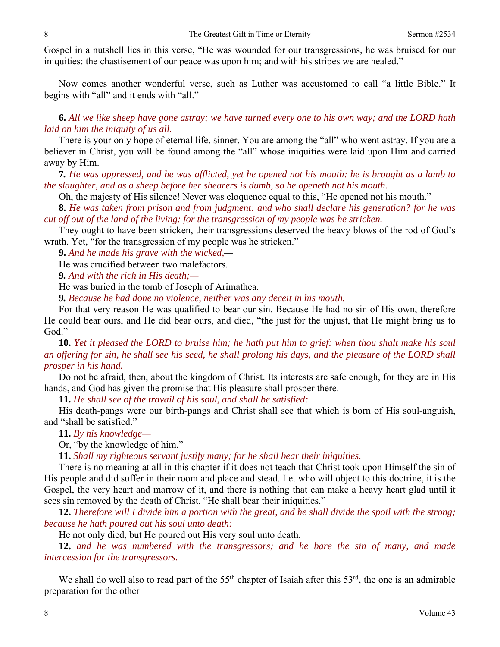Gospel in a nutshell lies in this verse, "He was wounded for our transgressions, he was bruised for our iniquities: the chastisement of our peace was upon him; and with his stripes we are healed."

Now comes another wonderful verse, such as Luther was accustomed to call "a little Bible." It begins with "all" and it ends with "all."

**6.** *All we like sheep have gone astray; we have turned every one to his own way; and the LORD hath laid on him the iniquity of us all.* 

There is your only hope of eternal life, sinner. You are among the "all" who went astray. If you are a believer in Christ, you will be found among the "all" whose iniquities were laid upon Him and carried away by Him.

**7***. He was oppressed, and he was afflicted, yet he opened not his mouth: he is brought as a lamb to the slaughter, and as a sheep before her shearers is dumb, so he openeth not his mouth.* 

Oh, the majesty of His silence! Never was eloquence equal to this, "He opened not his mouth."

**8.** *He was taken from prison and from judgment: and who shall declare his generation? for he was cut off out of the land of the living: for the transgression of my people was he stricken.* 

They ought to have been stricken, their transgressions deserved the heavy blows of the rod of God's wrath. Yet, "for the transgression of my people was he stricken."

**9.** *And he made his grave with the wicked,—* 

He was crucified between two malefactors.

**9***. And with the rich in His death;—* 

He was buried in the tomb of Joseph of Arimathea.

**9***. Because he had done no violence, neither was any deceit in his mouth.* 

For that very reason He was qualified to bear our sin. Because He had no sin of His own, therefore He could bear ours, and He did bear ours, and died, "the just for the unjust, that He might bring us to God."

**10.** *Yet it pleased the LORD to bruise him; he hath put him to grief: when thou shalt make his soul an offering for sin, he shall see his seed, he shall prolong his days, and the pleasure of the LORD shall prosper in his hand.* 

Do not be afraid, then, about the kingdom of Christ. Its interests are safe enough, for they are in His hands, and God has given the promise that His pleasure shall prosper there.

**11.** *He shall see of the travail of his soul, and shall be satisfied:* 

His death-pangs were our birth-pangs and Christ shall see that which is born of His soul-anguish, and "shall be satisfied."

**11.** *By his knowledge—*

Or, "by the knowledge of him."

**11.** *Shall my righteous servant justify many; for he shall bear their iniquities.* 

There is no meaning at all in this chapter if it does not teach that Christ took upon Himself the sin of His people and did suffer in their room and place and stead. Let who will object to this doctrine, it is the Gospel, the very heart and marrow of it, and there is nothing that can make a heavy heart glad until it sees sin removed by the death of Christ. "He shall bear their iniquities."

**12.** *Therefore will I divide him a portion with the great, and he shall divide the spoil with the strong; because he hath poured out his soul unto death:* 

He not only died, but He poured out His very soul unto death.

**12.** *and he was numbered with the transgressors; and he bare the sin of many, and made intercession for the transgressors.* 

We shall do well also to read part of the  $55<sup>th</sup>$  chapter of Isaiah after this  $53<sup>rd</sup>$ , the one is an admirable preparation for the other